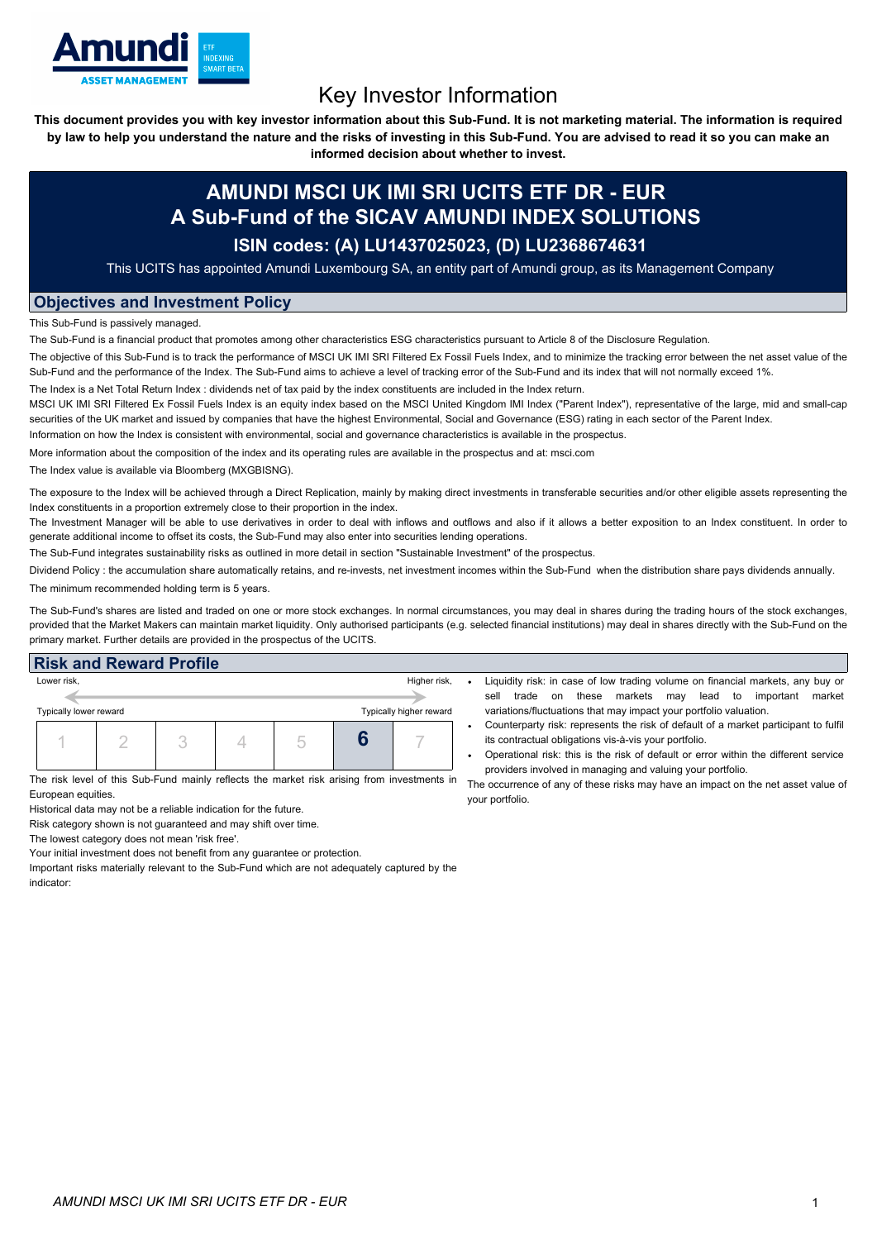

# Key Investor Information

This document provides you with key investor information about this Sub-Fund. It is not marketing material. The information is required by law to help you understand the nature and the risks of investing in this Sub-Fund. You are advised to read it so you can make an

**informed decision about whether to invest.**

## **AMUNDI MSCI UK IMI SRI UCITS ETF DR - EUR A Sub-Fund of the SICAV AMUNDI INDEX SOLUTIONS**

### **ISIN codes: (A) LU1437025023, (D) LU2368674631**

This UCITS has appointed Amundi Luxembourg SA, an entity part of Amundi group, as its Management Company

### **Objectives and Investment Policy**

This Sub-Fund is passively managed.

The Sub-Fund is a financial product that promotes among other characteristics ESG characteristics pursuant to Article 8 of the Disclosure Regulation.

The objective of this Sub-Fund is to track the performance of MSCI UK IMI SRI Filtered Ex Fossil Fuels Index, and to minimize the tracking error between the net asset value of the Sub-Fund and the performance of the Index. The Sub-Fund aims to achieve a level of tracking error of the Sub-Fund and its index that will not normally exceed 1%.

The Index is a Net Total Return Index : dividends net of tax paid by the index constituents are included in the Index return.

MSCI UK IMI SRI Filtered Ex Fossil Fuels Index is an equity index based on the MSCI United Kingdom IMI Index ("Parent Index"), representative of the large, mid and small-cap securities of the UK market and issued by companies that have the highest Environmental, Social and Governance (ESG) rating in each sector of the Parent Index.

Information on how the Index is consistent with environmental, social and governance characteristics is available in the prospectus.

More information about the composition of the index and its operating rules are available in the prospectus and at: msci.com

The Index value is available via Bloomberg (MXGBISNG).

The exposure to the Index will be achieved through a Direct Replication, mainly by making direct investments in transferable securities and/or other eligible assets representing the Index constituents in a proportion extremely close to their proportion in the index.

The Investment Manager will be able to use derivatives in order to deal with inflows and outflows and also if it allows a better exposition to an Index constituent. In order to generate additional income to offset its costs, the Sub-Fund may also enter into securities lending operations.

The Sub-Fund integrates sustainability risks as outlined in more detail in section "Sustainable Investment" of the prospectus.

Dividend Policy : the accumulation share automatically retains, and re-invests, net investment incomes within the Sub-Fund when the distribution share pays dividends annually. The minimum recommended holding term is 5 years.

The Sub-Fund's shares are listed and traded on one or more stock exchanges. In normal circumstances, you may deal in shares during the trading hours of the stock exchanges, provided that the Market Makers can maintain market liquidity. Only authorised participants (e.g. selected financial institutions) may deal in shares directly with the Sub-Fund on the primary market. Further details are provided in the prospectus of the UCITS.

| <b>Risk and Reward Profile</b>                                                                                    |  |  |  |  |                                         |  |                                                                                                                                                                                                                                                                                                                                                                                   |
|-------------------------------------------------------------------------------------------------------------------|--|--|--|--|-----------------------------------------|--|-----------------------------------------------------------------------------------------------------------------------------------------------------------------------------------------------------------------------------------------------------------------------------------------------------------------------------------------------------------------------------------|
| Lower risk,<br>Typically lower reward                                                                             |  |  |  |  | Higher risk,<br>Typically higher reward |  | Liquidity risk: in case of low trading volume on financial markets, any buy or<br>markets may<br>market<br>these<br>lead<br>important<br>to<br>sell<br>trade on<br>variations/fluctuations that may impact your portfolio valuation.                                                                                                                                              |
|                                                                                                                   |  |  |  |  |                                         |  | Counterparty risk: represents the risk of default of a market participant to fulfil<br>its contractual obligations vis-à-vis your portfolio.<br>Operational risk: this is the risk of default or error within the different service                                                                                                                                               |
| The risk level of this Sub-Fund mainly reflects the market risk arising from investments in<br>European equities. |  |  |  |  |                                         |  | providers involved in managing and valuing your portfolio.<br>The occurrence of any of these risks may have an impact on the net asset value of<br>in a comparable and the first state of the contract of the contract of the contract of the contract of the contract of the contract of the contract of the contract of the contract of the contract of the contract of the con |

your portfolio.

Historical data may not be a reliable indication for the future.

Risk category shown is not guaranteed and may shift over time.

The lowest category does not mean 'risk free'.

Your initial investment does not benefit from any guarantee or protection. Important risks materially relevant to the Sub-Fund which are not adequately captured by the

indicator: